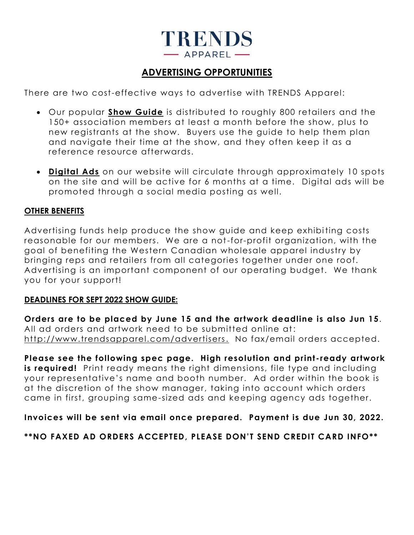

# **ADVERTISING OPPORTUNITIES**

There are two cost-effective ways to advertise with TRENDS Apparel:

- Our popular **Show Guide** is distributed to roughly 800 retailers and the 150+ association members at least a month before the show, plus to new registrants at the show. Buyers use the guide to help them plan and navigate their time at the show, and they often keep it as a reference resource afterwards.
- **Digital Ads** on our website will circulate through approximately 10 spots on the site and will be active for 6 months at a time. Digital ads will be promoted through a social media posting as well.

# **OTHER BENEFITS**

Advertising funds help produce the show guide and keep exhibiting costs reasonable for our members. We are a not-for-profit organization, with the goal of benefiting the Western Canadian wholesale apparel industry by bringing reps and retailers from all categories together under one roof. Advertising is an important component of our operating budget. We thank you for your support!

#### **DEADLINES FOR SEPT 2022 SHOW GUIDE:**

**Orders are to be placed by June 15 and the artwork deadline is also Jun 15**. All ad orders and artwork need to be submitted online at: [http://www.trendsapparel.com/advertisers.](http://www.trendsapparel.com/advertisers) No fax/email orders accepted.

**Please see the following spec page. High resolution and print -ready artwork is required!** Print ready means the right dimensions, file type and including your representative's name and booth number. Ad order within the book is at the discretion of the show manager, taking into account which orders came in first, grouping same-sized ads and keeping agency ads together.

**Invoices will be sent via email once prepared. Payment is due Jun 30, 2022.**

**\*\*NO FAXED AD ORDERS ACCEPTED, PLEASE DON'T SEND CREDIT CARD INFO\*\***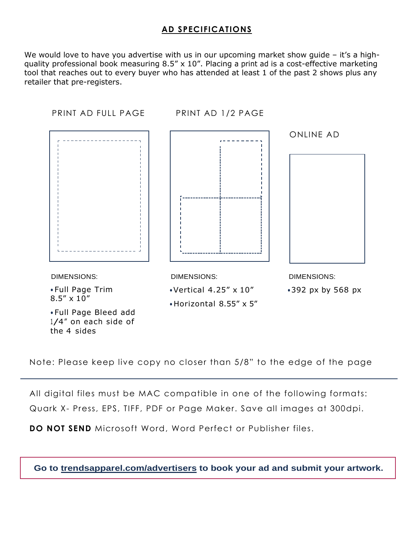# **AD SPECIFICATIONS**

We would love to have you advertise with us in our upcoming market show quide – it's a highquality professional book measuring 8.5" x 10". Placing a print ad is a cost-effective marketing tool that reaches out to every buyer who has attended at least 1 of the past 2 shows plus any retailer that pre-registers.



Note: Please keep live copy no closer than 5/8" to the edge of the page

All digital files must be MAC compatible in one of the following formats: Quark X- Press, EPS, TIFF, PDF or Page Maker. Save all images at 300dpi.

**DO NOT SEND** Microsoft Word, Word Perfect or Publisher files.

**Go to trendsapparel.com/advertisers to book your ad and submit your artwork.**